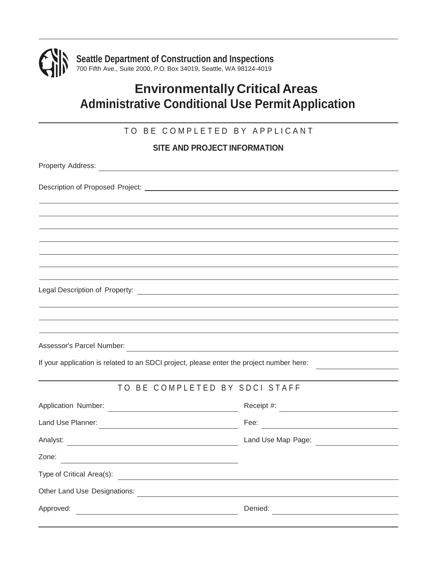

# **Environmentally Critical Areas Administrative Conditional Use PermitApplication**

### TO BE COMPLETED BY APPLICANT

#### **SITE AND PROJECT INFORMATION**

| Assessor's Parcel Number:<br><u> and the contract of the contract of the contract of the contract of the contract of the contract of the contract of the contract of the contract of the contract of the contract of the contract </u> |                               |
|----------------------------------------------------------------------------------------------------------------------------------------------------------------------------------------------------------------------------------------|-------------------------------|
| If your application is related to an SDCI project, please enter the project number here:                                                                                                                                               |                               |
|                                                                                                                                                                                                                                        |                               |
|                                                                                                                                                                                                                                        | TO BE COMPLETED BY SDCI STAFF |
|                                                                                                                                                                                                                                        |                               |
|                                                                                                                                                                                                                                        | Fee: $\qquad \qquad$          |
|                                                                                                                                                                                                                                        |                               |
| Zone:                                                                                                                                                                                                                                  |                               |
| Type of Critical Area(s): <u>contract and the set of the set of the set of the set of the set of the set of the set of the set of the set of the set of the set of the set of the set of the set of the set of the set of the se</u>   |                               |
|                                                                                                                                                                                                                                        |                               |
| Approved:                                                                                                                                                                                                                              | Denied:                       |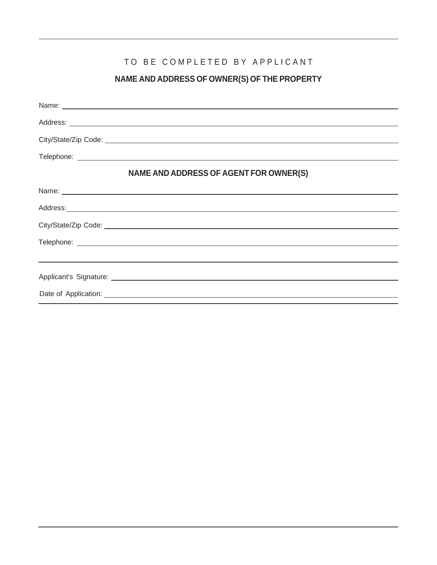### TO BE COMPLETED BY APPLICANT

### **NAME AND ADDRESS OF OWNER(S) OF THE PROPERTY**

| NAME AND ADDRESS OF AGENT FOR OWNER(S)                                           |
|----------------------------------------------------------------------------------|
|                                                                                  |
|                                                                                  |
|                                                                                  |
|                                                                                  |
| ,我们也不会有什么?""我们的人,我们也不会有什么?""我们的人,我们也不会有什么?""我们的人,我们也不会有什么?""我们的人,我们也不会有什么?""我们的人 |
|                                                                                  |
|                                                                                  |